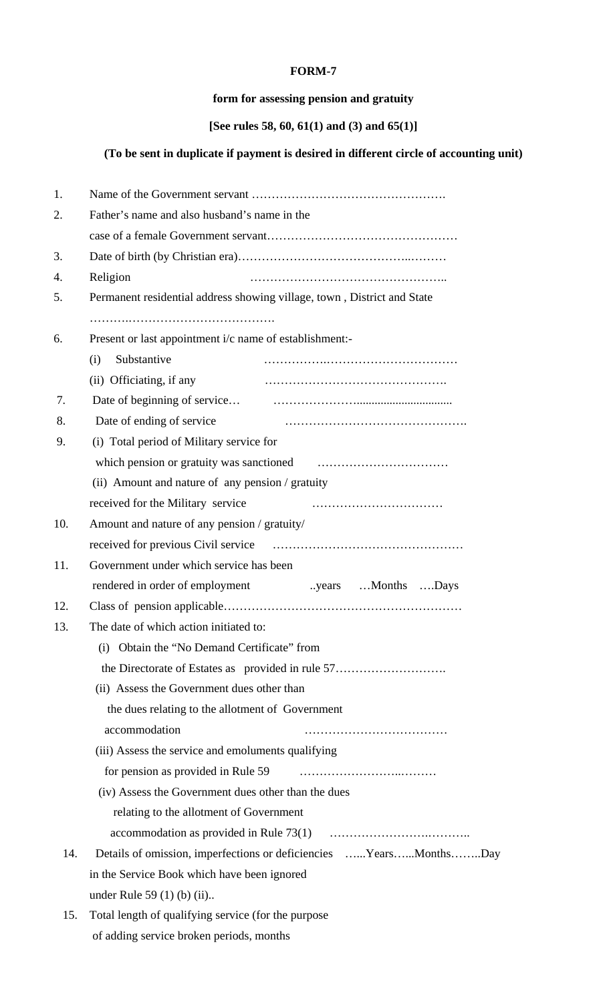## **FORM-7**

## **form for assessing pension and gratuity**

## **[See rules 58, 60, 61(1) and (3) and 65(1)]**

## **(To be sent in duplicate if payment is desired in different circle of accounting unit)**

| 1.  |                                                                         |  |  |
|-----|-------------------------------------------------------------------------|--|--|
| 2.  | Father's name and also husband's name in the                            |  |  |
|     |                                                                         |  |  |
| 3.  |                                                                         |  |  |
| 4.  | Religion                                                                |  |  |
| 5.  | Permanent residential address showing village, town, District and State |  |  |
|     |                                                                         |  |  |
| 6.  | Present or last appointment i/c name of establishment:-                 |  |  |
|     | Substantive<br>(i)                                                      |  |  |
|     | (ii) Officiating, if any                                                |  |  |
| 7.  |                                                                         |  |  |
| 8.  | Date of ending of service                                               |  |  |
| 9.  | (i) Total period of Military service for                                |  |  |
|     |                                                                         |  |  |
|     | (ii) Amount and nature of any pension / gratuity                        |  |  |
|     | received for the Military service                                       |  |  |
| 10. | Amount and nature of any pension / gratuity/                            |  |  |
|     |                                                                         |  |  |
| 11. | Government under which service has been                                 |  |  |
|     | years  Months Days.<br>rendered in order of employment                  |  |  |
| 12. |                                                                         |  |  |
| 13. | The date of which action initiated to:                                  |  |  |
|     | Obtain the "No Demand Certificate" from<br>(i)                          |  |  |
|     | the Directorate of Estates as provided in rule 57                       |  |  |
|     | (ii) Assess the Government dues other than                              |  |  |
|     | the dues relating to the allotment of Government                        |  |  |
|     | accommodation                                                           |  |  |
|     | (iii) Assess the service and emoluments qualifying                      |  |  |
|     | for pension as provided in Rule 59                                      |  |  |
|     | (iv) Assess the Government dues other than the dues                     |  |  |
|     | relating to the allotment of Government                                 |  |  |
|     |                                                                         |  |  |
| 14. | Details of omission, imperfections or deficiencies YearsMonthsDay       |  |  |
|     | in the Service Book which have been ignored                             |  |  |
|     | under Rule 59 $(1)$ $(b)$ $(ii)$                                        |  |  |
| 15. | Total length of qualifying service (for the purpose                     |  |  |
|     | of adding service broken periods, months                                |  |  |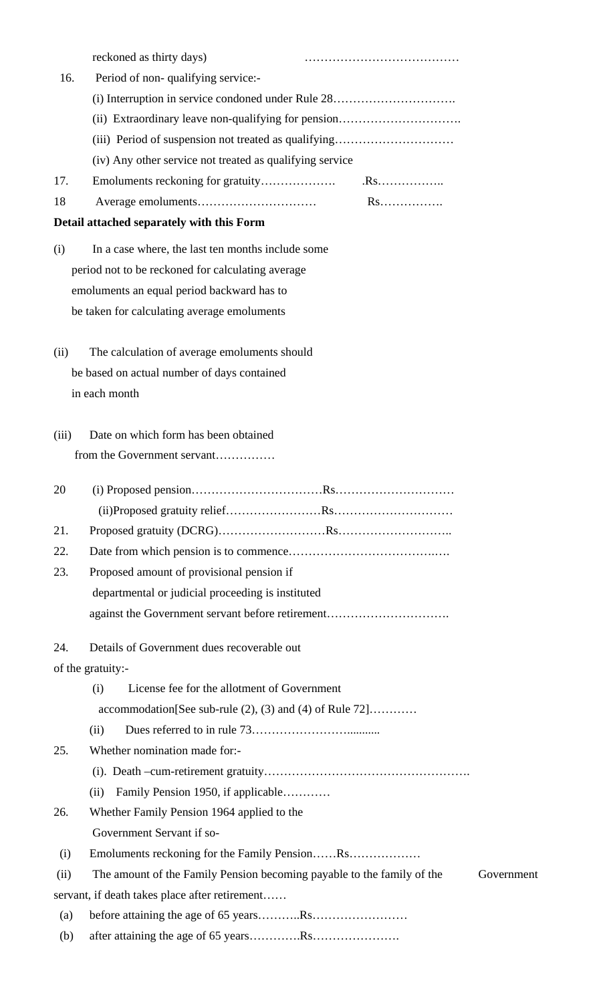|       | reckoned as thirty days)                                                             |
|-------|--------------------------------------------------------------------------------------|
| 16.   | Period of non-qualifying service:-                                                   |
|       | (i) Interruption in service condoned under Rule 28                                   |
|       | (ii) Extraordinary leave non-qualifying for pension                                  |
|       | (iii) Period of suspension not treated as qualifying                                 |
|       | (iv) Any other service not treated as qualifying service                             |
| 17.   | $.Rs$                                                                                |
| 18    | Rs                                                                                   |
|       | Detail attached separately with this Form                                            |
| (i)   | In a case where, the last ten months include some                                    |
|       | period not to be reckoned for calculating average                                    |
|       | emoluments an equal period backward has to                                           |
|       | be taken for calculating average emoluments                                          |
| (ii)  | The calculation of average emoluments should                                         |
|       | be based on actual number of days contained                                          |
|       | in each month                                                                        |
|       |                                                                                      |
| (iii) | Date on which form has been obtained                                                 |
|       | from the Government servant                                                          |
| 20    |                                                                                      |
|       |                                                                                      |
| 21.   |                                                                                      |
| 22.   |                                                                                      |
| 23.   | Proposed amount of provisional pension if                                            |
|       | departmental or judicial proceeding is instituted                                    |
|       | against the Government servant before retirement                                     |
| 24.   | Details of Government dues recoverable out                                           |
|       | of the gratuity:-                                                                    |
|       | License fee for the allotment of Government<br>(i)                                   |
|       | $accommodation[See sub-rule (2), (3) and (4) of Rule 72] \dots$                      |
|       | (ii)                                                                                 |
| 25.   | Whether nomination made for:-                                                        |
|       |                                                                                      |
|       | Family Pension 1950, if applicable<br>(ii)                                           |
| 26.   | Whether Family Pension 1964 applied to the                                           |
|       | Government Servant if so-                                                            |
| (i)   |                                                                                      |
| (ii)  | The amount of the Family Pension becoming payable to the family of the<br>Government |
|       | servant, if death takes place after retirement                                       |
| (a)   |                                                                                      |
| (b)   |                                                                                      |